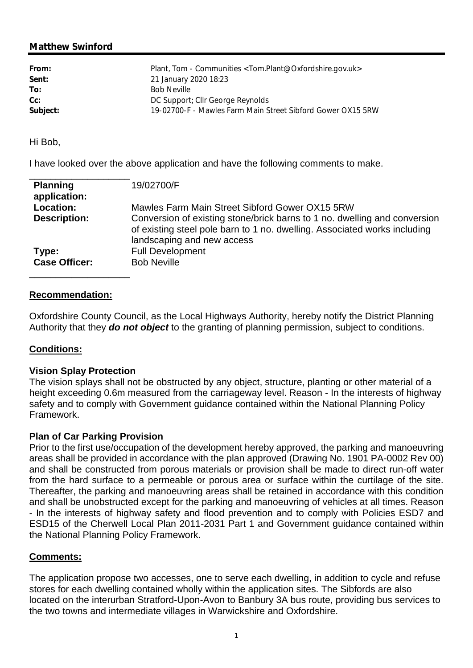# **Matthew Swinford**

| From:    | Plant, Tom - Communities < Tom.Plant@Oxfordshire.gov.uk>    |
|----------|-------------------------------------------------------------|
| Sent:    | 21 January 2020 18:23                                       |
| To:      | <b>Bob Neville</b>                                          |
| $Cc$ :   | DC Support; Cllr George Reynolds                            |
| Subject: | 19-02700-F - Mawles Farm Main Street Sibford Gower OX15 5RW |
|          |                                                             |

Hi Bob,

I have looked over the above application and have the following comments to make.

| <b>Planning</b><br>application: | 19/02700/F                                                                                                                                                                           |
|---------------------------------|--------------------------------------------------------------------------------------------------------------------------------------------------------------------------------------|
| Location:                       | Mawles Farm Main Street Sibford Gower OX15 5RW                                                                                                                                       |
| <b>Description:</b>             | Conversion of existing stone/brick barns to 1 no. dwelling and conversion<br>of existing steel pole barn to 1 no. dwelling. Associated works including<br>landscaping and new access |
| Type:                           | <b>Full Development</b>                                                                                                                                                              |
| <b>Case Officer:</b>            | <b>Bob Neville</b>                                                                                                                                                                   |

## **Recommendation:**

Oxfordshire County Council, as the Local Highways Authority, hereby notify the District Planning Authority that they *do not object* to the granting of planning permission, subject to conditions.

## **Conditions:**

#### **Vision Splay Protection**

The vision splays shall not be obstructed by any object, structure, planting or other material of a height exceeding 0.6m measured from the carriageway level. Reason - In the interests of highway safety and to comply with Government guidance contained within the National Planning Policy Framework.

#### **Plan of Car Parking Provision**

Prior to the first use/occupation of the development hereby approved, the parking and manoeuvring areas shall be provided in accordance with the plan approved (Drawing No. 1901 PA-0002 Rev 00) and shall be constructed from porous materials or provision shall be made to direct run-off water from the hard surface to a permeable or porous area or surface within the curtilage of the site. Thereafter, the parking and manoeuvring areas shall be retained in accordance with this condition and shall be unobstructed except for the parking and manoeuvring of vehicles at all times. Reason - In the interests of highway safety and flood prevention and to comply with Policies ESD7 and ESD15 of the Cherwell Local Plan 2011-2031 Part 1 and Government guidance contained within the National Planning Policy Framework.

## **Comments:**

The application propose two accesses, one to serve each dwelling, in addition to cycle and refuse stores for each dwelling contained wholly within the application sites. The Sibfords are also located on the interurban Stratford-Upon-Avon to Banbury 3A bus route, providing bus services to the two towns and intermediate villages in Warwickshire and Oxfordshire.